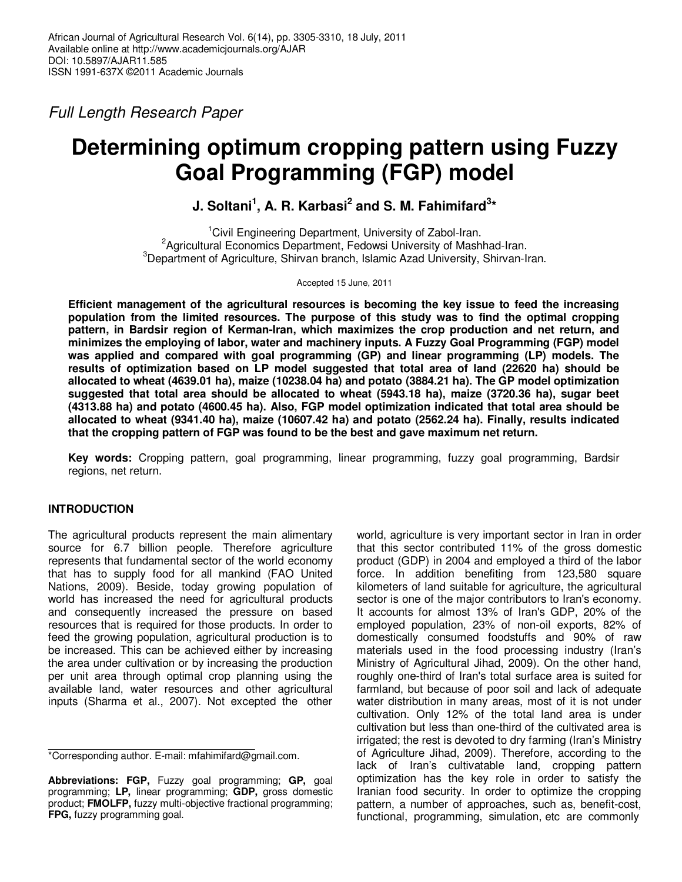*Full Length Research Paper* 

# **Determining optimum cropping pattern using Fuzzy Goal Programming (FGP) model**

## **J.** Soltani<sup>1</sup>, A. R. Karbasi<sup>2</sup> and S. M. Fahimifard<sup>3\*</sup>

<sup>1</sup>Civil Engineering Department, University of Zabol-Iran. <sup>2</sup>Agricultural Economics Department, Fedowsi University of Mashhad-Iran. <sup>3</sup>Department of Agriculture, Shirvan branch, Islamic Azad University, Shirvan-Iran.

Accepted 15 June, 2011

**Efficient management of the agricultural resources is becoming the key issue to feed the increasing population from the limited resources. The purpose of this study was to find the optimal cropping pattern, in Bardsir region of Kerman-Iran, which maximizes the crop production and net return, and minimizes the employing of labor, water and machinery inputs. A Fuzzy Goal Programming (FGP) model was applied and compared with goal programming (GP) and linear programming (LP) models. The results of optimization based on LP model suggested that total area of land (22620 ha) should be allocated to wheat (4639.01 ha), maize (10238.04 ha) and potato (3884.21 ha). The GP model optimization suggested that total area should be allocated to wheat (5943.18 ha), maize (3720.36 ha), sugar beet (4313.88 ha) and potato (4600.45 ha). Also, FGP model optimization indicated that total area should be allocated to wheat (9341.40 ha), maize (10607.42 ha) and potato (2562.24 ha). Finally, results indicated that the cropping pattern of FGP was found to be the best and gave maximum net return.** 

**Key words:** Cropping pattern, goal programming, linear programming, fuzzy goal programming, Bardsir regions, net return.

## **INTRODUCTION**

The agricultural products represent the main alimentary source for 6.7 billion people. Therefore agriculture represents that fundamental sector of the world economy that has to supply food for all mankind (FAO United Nations, 2009). Beside, today growing population of world has increased the need for agricultural products and consequently increased the pressure on based resources that is required for those products. In order to feed the growing population, agricultural production is to be increased. This can be achieved either by increasing the area under cultivation or by increasing the production per unit area through optimal crop planning using the available land, water resources and other agricultural inputs (Sharma et al., 2007). Not excepted the other

\*Corresponding author. E-mail: mfahimifard@gmail.com.

world, agriculture is very important sector in Iran in order that this sector contributed 11% of the gross domestic product (GDP) in 2004 and employed a third of the labor force. In addition benefiting from 123,580 square kilometers of land suitable for agriculture, the agricultural sector is one of the major contributors to Iran's economy. It accounts for almost 13% of Iran's GDP, 20% of the employed population, 23% of non-oil exports, 82% of domestically consumed foodstuffs and 90% of raw materials used in the food processing industry (Iran's Ministry of Agricultural Jihad, 2009). On the other hand, roughly one-third of Iran's total surface area is suited for farmland, but because of poor soil and lack of adequate water distribution in many areas, most of it is not under cultivation. Only 12% of the total land area is under cultivation but less than one-third of the cultivated area is irrigated; the rest is devoted to dry farming (Iran's Ministry of Agriculture Jihad, 2009). Therefore, according to the lack of Iran's cultivatable land, cropping pattern optimization has the key role in order to satisfy the Iranian food security. In order to optimize the cropping pattern, a number of approaches, such as, benefit-cost, functional, programming, simulation, etc are commonly

**Abbreviations: FGP,** Fuzzy goal programming; **GP,** goal programming; **LP,** linear programming; **GDP,** gross domestic product; **FMOLFP,** fuzzy multi-objective fractional programming; **FPG,** fuzzy programming goal.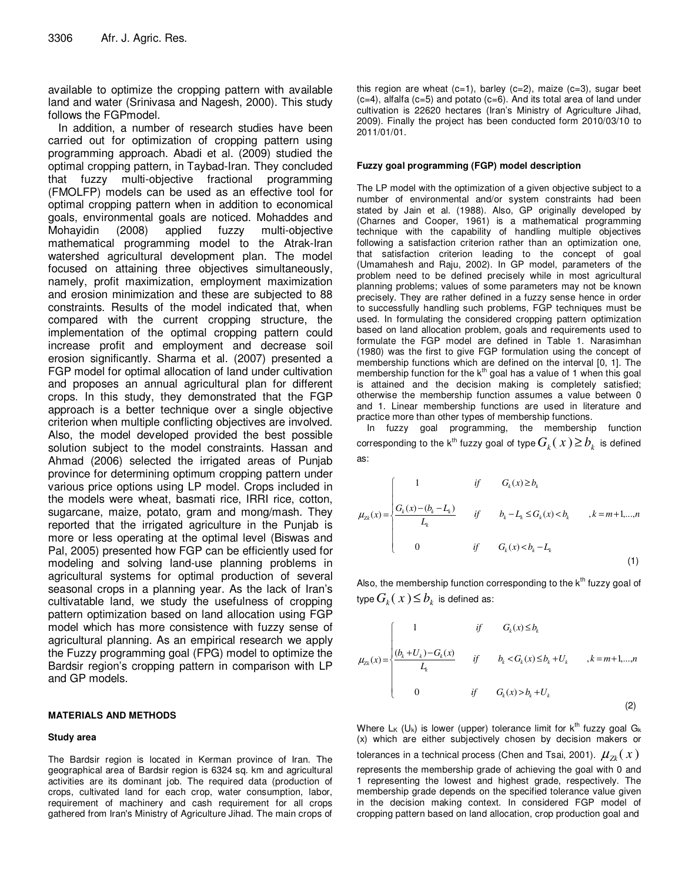available to optimize the cropping pattern with available land and water (Srinivasa and Nagesh, 2000). This study follows the FGPmodel.

In addition, a number of research studies have been carried out for optimization of cropping pattern using programming approach. Abadi et al. (2009) studied the optimal cropping pattern, in Taybad-Iran. They concluded that fuzzy multi-objective fractional programming (FMOLFP) models can be used as an effective tool for optimal cropping pattern when in addition to economical goals, environmental goals are noticed. Mohaddes and Mohayidin (2008) applied fuzzy multi-objective mathematical programming model to the Atrak-Iran watershed agricultural development plan. The model focused on attaining three objectives simultaneously, namely, profit maximization, employment maximization and erosion minimization and these are subjected to 88 constraints. Results of the model indicated that, when compared with the current cropping structure, the implementation of the optimal cropping pattern could increase profit and employment and decrease soil erosion significantly. Sharma et al. (2007) presented a FGP model for optimal allocation of land under cultivation and proposes an annual agricultural plan for different crops. In this study, they demonstrated that the FGP approach is a better technique over a single objective criterion when multiple conflicting objectives are involved. Also, the model developed provided the best possible solution subject to the model constraints. Hassan and Ahmad (2006) selected the irrigated areas of Punjab province for determining optimum cropping pattern under various price options using LP model. Crops included in the models were wheat, basmati rice, IRRI rice, cotton, sugarcane, maize, potato, gram and mong/mash. They reported that the irrigated agriculture in the Punjab is more or less operating at the optimal level (Biswas and Pal, 2005) presented how FGP can be efficiently used for modeling and solving land-use planning problems in agricultural systems for optimal production of several seasonal crops in a planning year. As the lack of Iran's cultivatable land, we study the usefulness of cropping pattern optimization based on land allocation using FGP model which has more consistence with fuzzy sense of agricultural planning. As an empirical research we apply the Fuzzy programming goal (FPG) model to optimize the Bardsir region's cropping pattern in comparison with LP and GP models.

#### **MATERIALS AND METHODS**

#### **Study area**

The Bardsir region is located in Kerman province of Iran. The geographical area of Bardsir region is 6324 sq. km and agricultural activities are its dominant job. The required data (production of crops, cultivated land for each crop, water consumption, labor, requirement of machinery and cash requirement for all crops gathered from Iran's Ministry of Agriculture Jihad. The main crops of

this region are wheat  $(c=1)$ , barley  $(c=2)$ , maize  $(c=3)$ , sugar beet  $(c=4)$ , alfalfa  $(c=5)$  and potato  $(c=6)$ . And its total area of land under cultivation is 22620 hectares (Iran's Ministry of Agriculture Jihad, 2009). Finally the project has been conducted form 2010/03/10 to 2011/01/01.

#### **Fuzzy goal programming (FGP) model description**

The LP model with the optimization of a given objective subject to a number of environmental and/or system constraints had been stated by Jain et al. (1988). Also, GP originally developed by (Charnes and Cooper, 1961) is a mathematical programming technique with the capability of handling multiple objectives following a satisfaction criterion rather than an optimization one, that satisfaction criterion leading to the concept of goal (Umamahesh and Raju, 2002). In GP model, parameters of the problem need to be defined precisely while in most agricultural planning problems; values of some parameters may not be known precisely. They are rather defined in a fuzzy sense hence in order to successfully handling such problems, FGP techniques must be used. In formulating the considered cropping pattern optimization based on land allocation problem, goals and requirements used to formulate the FGP model are defined in Table 1. Narasimhan (1980) was the first to give FGP formulation using the concept of membership functions which are defined on the interval [0, 1]. The membership function for the  $k<sup>th</sup>$  goal has a value of 1 when this goal is attained and the decision making is completely satisfied; otherwise the membership function assumes a value between 0 and 1. Linear membership functions are used in literature and practice more than other types of membership functions.

In fuzzy goal programming, the membership function corresponding to the k<sup>th</sup> fuzzy goal of type  $G_k(x) \ge b_k$  is defined as:

$$
\mu_{2k}(x) = \begin{cases}\n1 & \text{if } G_k(x) \ge b_k \\
\frac{G_k(x) - (b_k - L_k)}{L_k} & \text{if } b_k - L_k \le G_k(x) < b_k, k = m+1, \dots, n \\
0 & \text{if } G_k(x) < b_k - L_k\n\end{cases}
$$
\n(1)

Also, the membership function corresponding to the k<sup>th</sup> fuzzy goal of type  $G_k(x) \leq b_k$  is defined as:

$$
\mu_{2k}(x) = \begin{cases}\n1 & \text{if } G_k(x) \le b_k \\
\frac{(b_k + U_k) - G_k(x)}{L_k} & \text{if } b_k < G_k(x) \le b_k + U_k, k = m+1, \dots, n \\
0 & \text{if } G_k(x) > b_k + U_k\n\end{cases}
$$
\n(2)

Where  $L_K$  (U<sub>k</sub>) is lower (upper) tolerance limit for  $k^{th}$  fuzzy goal  $G_k$ (x) which are either subjectively chosen by decision makers or tolerances in a technical process (Chen and Tsai, 2001).  $\mu_{z_k}(x)$ represents the membership grade of achieving the goal with 0 and 1 representing the lowest and highest grade, respectively. The membership grade depends on the specified tolerance value given in the decision making context. In considered FGP model of cropping pattern based on land allocation, crop production goal and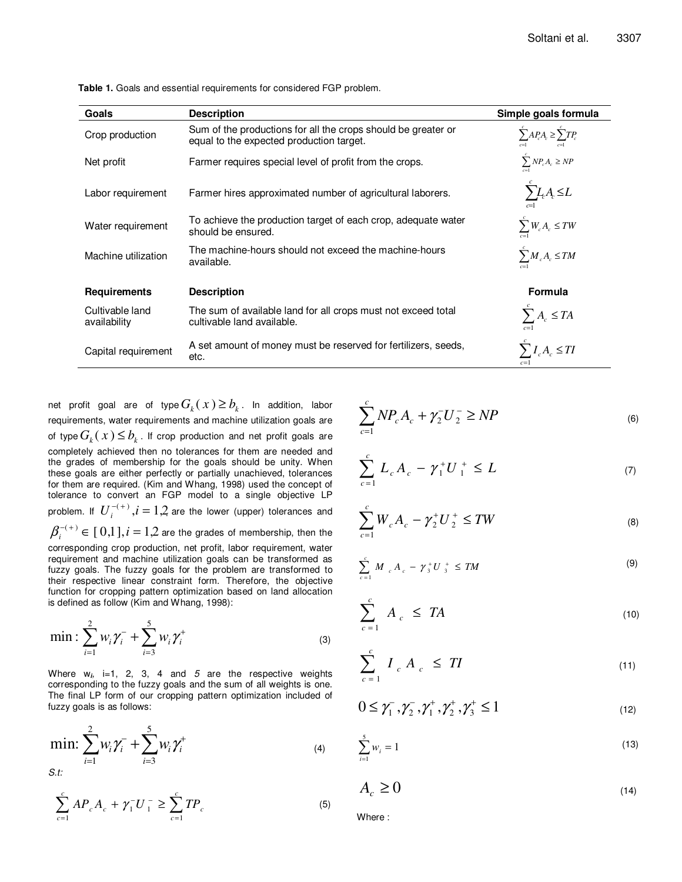| Goals                           | <b>Description</b>                                                                                        | Simple goals formula            |
|---------------------------------|-----------------------------------------------------------------------------------------------------------|---------------------------------|
| Crop production                 | Sum of the productions for all the crops should be greater or<br>equal to the expected production target. | $\sum AP_cA_c \geq \sum TP_c$   |
| Net profit                      | Farmer requires special level of profit from the crops.                                                   | $\sum NP_c A_c \ge NP$          |
| Labor requirement               | Farmer hires approximated number of agricultural laborers.                                                | $\sum L_i A_i \leq L$           |
| Water requirement               | To achieve the production target of each crop, adequate water<br>should be ensured.                       | $\sum W_c A_c \le TW$           |
| Machine utilization             | The machine-hours should not exceed the machine-hours<br>available.                                       | $\sum M_c A_c \le TM$           |
| <b>Requirements</b>             | <b>Description</b>                                                                                        | Formula                         |
| Cultivable land<br>availability | The sum of available land for all crops must not exceed total<br>cultivable land available.               | $\sum A_c \leq T A$             |
| Capital requirement             | A set amount of money must be reserved for fertilizers, seeds,<br>etc.                                    | $\sum I_c A_c \leq TI$<br>$c=1$ |

**Table 1.** Goals and essential requirements for considered FGP problem.

net profit goal are of type  $G_k(x) \ge b_k$ . In addition, labor requirements, water requirements and machine utilization goals are of type  $G_k(x) \leq b_k$ . If crop production and net profit goals are completely achieved then no tolerances for them are needed and the grades of membership for the goals should be unity. When these goals are either perfectly or partially unachieved, tolerances for them are required. (Kim and Whang, 1998) used the concept of tolerance to convert an FGP model to a single objective LP problem. If  $U_i^{-(+)}$ , $i=1,2$  are the lower (upper) tolerances and  $\beta_i^{-(+)}$   $\in$   $[\,0,1\,],i=1,2$  are the grades of membership, then the corresponding crop production, net profit, labor requirement, water requirement and machine utilization goals can be transformed as fuzzy goals. The fuzzy goals for the problem are transformed to their respective linear constraint form. Therefore, the objective function for cropping pattern optimization based on land allocation is defined as follow (Kim and Whang, 1998):

$$
\min: \sum_{i=1}^{2} w_i \gamma_i^{-} + \sum_{i=3}^{5} w_i \gamma_i^{+}
$$
 (3)

Where w**i***,* i=1, 2, 3, 4 and *5* are the respective weights corresponding to the fuzzy goals and the sum of all weights is one. The final LP form of our cropping pattern optimization included of fuzzy goals is as follows:

$$
\min: \sum_{i=1}^{2} w_i \gamma_i^{-} + \sum_{i=3}^{5} w_i \gamma_i^{+}
$$
\n
$$
s.t:
$$
\n<sup>(4)</sup>

$$
\sum_{c=1}^{c} AP_{c}A_{c} + \gamma_{1}^{-}U_{1}^{-} \ge \sum_{c=1}^{c} TP_{c}
$$
 (5)

$$
\sum_{c=1}^{c} NP_{c} A_{c} + \gamma_{2}^{-} U_{2}^{-} \ge NP
$$
\n(6)

$$
\sum_{c=1}^{c} L_c A_c - \gamma_1^+ U_1^+ \le L \tag{7}
$$

$$
\sum_{c=1}^{c} W_c A_c - \gamma_2^+ U_2^+ \le TW \tag{8}
$$

$$
\sum_{c=1}^{c} M_{c} A_{c} - \gamma_{3}^{+} U_{3}^{+} \leq TM
$$
 (9)

$$
\sum_{c=1}^{c} A_c \leq TA \tag{10}
$$

$$
\sum_{c=1}^{c} I_{c} A_{c} \leq TI \tag{11}
$$

$$
0 \le \gamma_1^-, \gamma_2^-, \gamma_1^+, \gamma_2^+, \gamma_3^+ \le 1 \tag{12}
$$

$$
\sum_{i=1}^{5} w_i = 1
$$
 (13)

$$
A_c \ge 0 \tag{14}
$$

Where :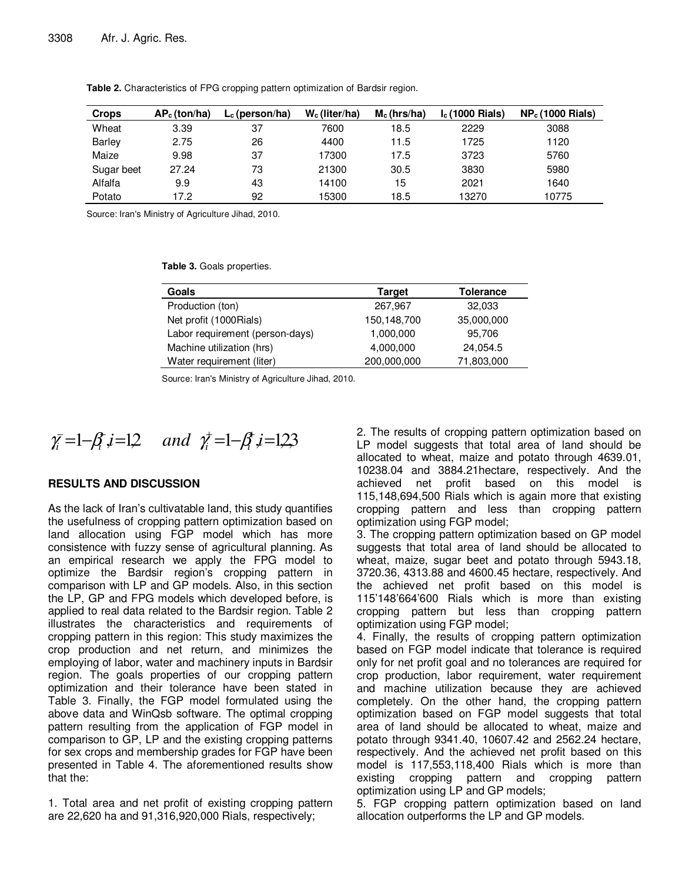| <b>Crops</b>  | $AP_c$ (ton/ha) | $L_c$ (person/ha) | $W_c$ (liter/ha) | $M_c$ (hrs/ha) | $I_c(1000 \text{ Rials})$ | $NP_c(1000 Rials)$ |
|---------------|-----------------|-------------------|------------------|----------------|---------------------------|--------------------|
| Wheat         | 3.39            | -37               | 7600             | 18.5           | 2229                      | 3088               |
| <b>Barley</b> | 2.75            | 26                | 4400             | 11.5           | 1725                      | 1120               |
| Maize         | 9.98            | 37                | 17300            | 17.5           | 3723                      | 5760               |
| Sugar beet    | 27.24           | 73                | 21300            | 30.5           | 3830                      | 5980               |
| Alfalfa       | 9.9             | 43                | 14100            | 15             | 2021                      | 1640               |
| Potato        | 17.2            | 92                | 15300            | 18.5           | 13270                     | 10775              |

**Table 2.** Characteristics of FPG cropping pattern optimization of Bardsir region.

Source: Iran's Ministry of Agriculture Jihad, 2010.

**Table 3.** Goals properties.

| Goals                           | <b>Target</b> | <b>Tolerance</b> |
|---------------------------------|---------------|------------------|
| Production (ton)                | 267,967       | 32,033           |
| Net profit (1000Rials)          | 150,148,700   | 35,000,000       |
| Labor requirement (person-days) | 1,000,000     | 95,706           |
| Machine utilization (hrs)       | 4,000,000     | 24,054.5         |
| Water requirement (liter)       | 200,000,000   | 71,803,000       |

Source: Iran's Ministry of Agriculture Jihad, 2010.

$$
\bar{\gamma}_i = 1 - \beta_i \, i = 1, 2
$$
 and  $\bar{\gamma}_i = 1 - \beta_i \, i = 1, 2, 3$ 

## **RESULTS AND DISCUSSION**

As the lack of Iran's cultivatable land, this study quantifies the usefulness of cropping pattern optimization based on land allocation using FGP model which has more consistence with fuzzy sense of agricultural planning. As an empirical research we apply the FPG model to optimize the Bardsir region's cropping pattern in comparison with LP and GP models. Also, in this section the LP, GP and FPG models which developed before, is applied to real data related to the Bardsir region. Table 2 illustrates the characteristics and requirements of cropping pattern in this region: This study maximizes the crop production and net return, and minimizes the employing of labor, water and machinery inputs in Bardsir region. The goals properties of our cropping pattern optimization and their tolerance have been stated in Table 3. Finally, the FGP model formulated using the above data and WinQsb software. The optimal cropping pattern resulting from the application of FGP model in comparison to GP, LP and the existing cropping patterns for sex crops and membership grades for FGP have been presented in Table 4. The aforementioned results show that the:

1. Total area and net profit of existing cropping pattern are 22,620 ha and 91,316,920,000 Rials, respectively;

2. The results of cropping pattern optimization based on LP model suggests that total area of land should be allocated to wheat, maize and potato through 4639.01, 10238.04 and 3884.21hectare, respectively. And the achieved net profit based on this model is 115,148,694,500 Rials which is again more that existing cropping pattern and less than cropping pattern optimization using FGP model;

3. The cropping pattern optimization based on GP model suggests that total area of land should be allocated to wheat, maize, sugar beet and potato through 5943.18, 3720.36, 4313.88 and 4600.45 hectare, respectively. And the achieved net profit based on this model is 115'148'664'600 Rials which is more than existing cropping pattern but less than cropping pattern optimization using FGP model;

4. Finally, the results of cropping pattern optimization based on FGP model indicate that tolerance is required only for net profit goal and no tolerances are required for crop production, labor requirement, water requirement and machine utilization because they are achieved completely. On the other hand, the cropping pattern optimization based on FGP model suggests that total area of land should be allocated to wheat, maize and potato through 9341.40, 10607.42 and 2562.24 hectare, respectively. And the achieved net profit based on this model is 117,553,118,400 Rials which is more than existing cropping pattern and cropping pattern optimization using LP and GP models;

5. FGP cropping pattern optimization based on land allocation outperforms the LP and GP models.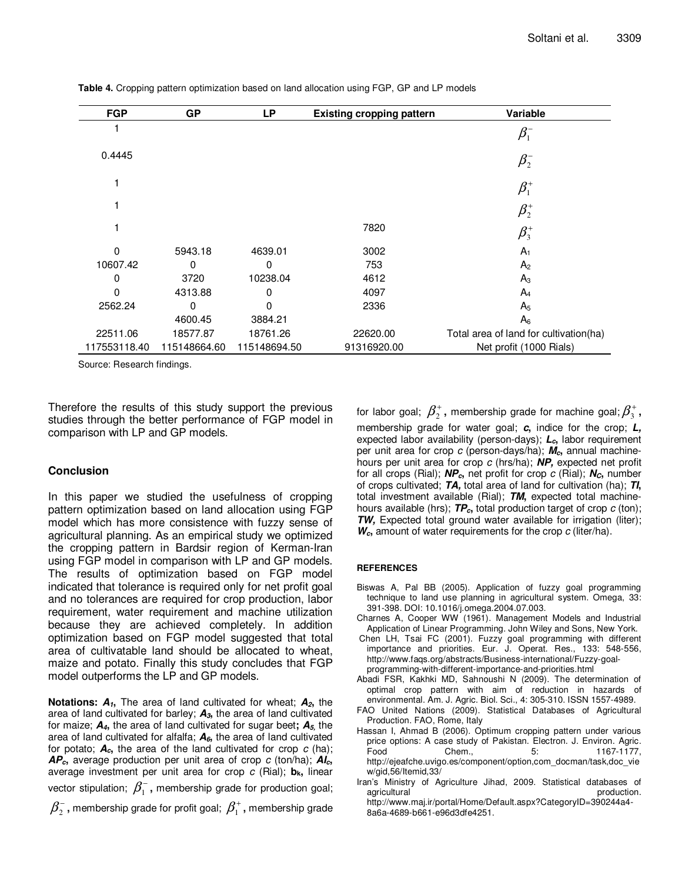| <b>FGP</b>   | <b>GP</b>    | LP           | <b>Existing cropping pattern</b> | Variable                               |
|--------------|--------------|--------------|----------------------------------|----------------------------------------|
|              |              |              |                                  | $\beta_1^-$                            |
| 0.4445       |              |              |                                  | $\pmb{\beta}^-_2$                      |
|              |              |              |                                  | $\beta_1^*$                            |
|              |              |              |                                  | $\pmb{\beta}^+_2$                      |
|              |              |              | 7820                             | $\beta_3^+$                            |
| 0            | 5943.18      | 4639.01      | 3002                             | $A_1$                                  |
| 10607.42     | 0            | 0            | 753                              | A <sub>2</sub>                         |
| 0            | 3720         | 10238.04     | 4612                             | $A_3$                                  |
| 0            | 4313.88      | 0            | 4097                             | $A_4$                                  |
| 2562.24      | 0            | 0            | 2336                             | A <sub>5</sub>                         |
|              | 4600.45      | 3884.21      |                                  | $A_6$                                  |
| 22511.06     | 18577.87     | 18761.26     | 22620.00                         | Total area of land for cultivation(ha) |
| 117553118.40 | 115148664.60 | 115148694.50 | 91316920.00                      | Net profit (1000 Rials)                |

**Table 4.** Cropping pattern optimization based on land allocation using FGP, GP and LP models

Source: Research findings.

Therefore the results of this study support the previous studies through the better performance of FGP model in comparison with LP and GP models.

### **Conclusion**

In this paper we studied the usefulness of cropping pattern optimization based on land allocation using FGP model which has more consistence with fuzzy sense of agricultural planning. As an empirical study we optimized the cropping pattern in Bardsir region of Kerman-Iran using FGP model in comparison with LP and GP models. The results of optimization based on FGP model indicated that tolerance is required only for net profit goal and no tolerances are required for crop production, labor requirement, water requirement and machine utilization because they are achieved completely. In addition optimization based on FGP model suggested that total area of cultivatable land should be allocated to wheat, maize and potato. Finally this study concludes that FGP model outperforms the LP and GP models.

**Notations: A1,** The area of land cultivated for wheat; **A2,** the area of land cultivated for barley; **A3,** the area of land cultivated for maize; **A4,** the area of land cultivated for sugar beet**; A5,** the area of land cultivated for alfalfa; **A6,** the area of land cultivated for potato;  $A_c$ , the area of the land cultivated for crop  $c$  (ha); **APc,** average production per unit area of crop *c* (ton/ha); **AIc,** average investment per unit area for crop *c* (Rial); **bk,** linear vector stipulation;  $\beta_1^-$ , membership grade for production goal;

 $\beta_{2}^{-}$ , membership grade for profit goal;  $\beta_{1}^{+}$ , membership grade

for labor goal;  $\beta_2^+$ , membership grade for machine goal;  $\beta_3^+$ , membership grade for water goal; **c,** indice for the crop; **L,** expected labor availability (person-days); **Lc,** labor requirement per unit area for crop *c* (person-days/ha); **Mc,** annual machinehours per unit area for crop *c* (hrs/ha); **NP,** expected net profit for all crops (Rial); **NPc,** net profit for crop *c* (Rial); **NC,** number of crops cultivated; **TA,** total area of land for cultivation (ha); **TI,** total investment available (Rial); **TM,** expected total machinehours available (hrs); **TPc,** total production target of crop *c* (ton); **TW**, Expected total ground water available for irrigation (liter); **Wc,** amount of water requirements for the crop *c* (liter/ha).

#### **REFERENCES**

- Biswas A, Pal BB (2005). Application of fuzzy goal programming technique to land use planning in agricultural system. Omega, 33: 391-398. DOI: 10.1016/j.omega.2004.07.003.
- Charnes A, Cooper WW (1961). Management Models and Industrial Application of Linear Programming. John Wiley and Sons, New York.
- Chen LH, Tsai FC (2001). Fuzzy goal programming with different importance and priorities. Eur. J. Operat. Res., 133: 548-556, http://www.faqs.org/abstracts/Business-international/Fuzzy-goalprogramming-with-different-importance-and-priorities.html
- Abadi FSR, Kakhki MD, Sahnoushi N (2009). The determination of optimal crop pattern with aim of reduction in hazards of environmental. Am. J. Agric. Biol. Sci., 4: 305-310. ISSN 1557-4989.
- FAO United Nations (2009). Statistical Databases of Agricultural Production. FAO, Rome, Italy
- Hassan I, Ahmad B (2006). Optimum cropping pattern under various price options: A case study of Pakistan. Electron. J. Environ. Agric. Food Chem., 5: 1167-1177, http://ejeafche.uvigo.es/component/option,com\_docman/task,doc\_vie w/gid,56/Itemid,33/
- Iran's Ministry of Agriculture Jihad, 2009. Statistical databases of agricultural **production** 
	- http://www.maj.ir/portal/Home/Default.aspx?CategoryID=390244a4- 8a6a-4689-b661-e96d3dfe4251.